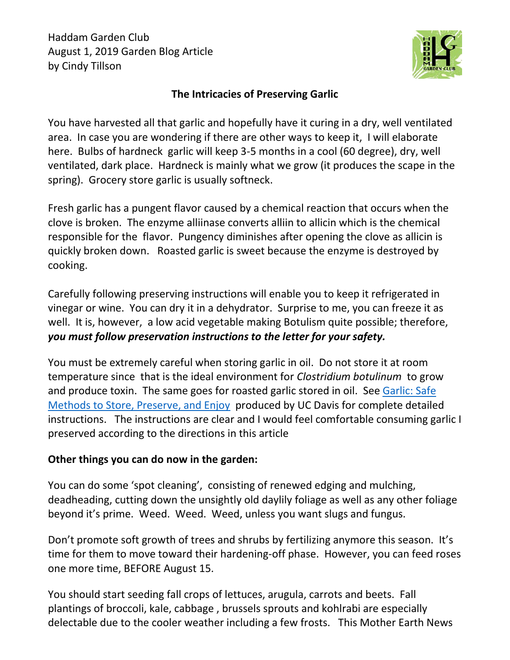Haddam Garden Club August 1, 2019 Garden Blog Article by Cindy Tillson



## **The Intricacies of Preserving Garlic**

You have harvested all that garlic and hopefully have it curing in a dry, well ventilated area. In case you are wondering if there are other ways to keep it, I will elaborate here. Bulbs of hardneck garlic will keep 3-5 months in a cool (60 degree), dry, well ventilated, dark place. Hardneck is mainly what we grow (it produces the scape in the spring). Grocery store garlic is usually softneck.

Fresh garlic has a pungent flavor caused by a chemical reaction that occurs when the clove is broken. The enzyme alliinase converts alliin to allicin which is the chemical responsible for the flavor. Pungency diminishes after opening the clove as allicin is quickly broken down. Roasted garlic is sweet because the enzyme is destroyed by cooking.

Carefully following preserving instructions will enable you to keep it refrigerated in vinegar or wine. You can dry it in a dehydrator. Surprise to me, you can freeze it as well. It is, however, a low acid vegetable making Botulism quite possible; therefore, *you must follow preservation instructions to the letter for your safety.*

You must be extremely careful when storing garlic in oil. Do not store it at room temperature since that is the ideal environment for *Clostridium botulinum* to grow and produce toxin. The same goes for roasted garlic stored in oil. See [Garlic: Safe](http://ucfoodsafety.ucdavis.edu/files/250352.pdf)  [Methods to Store, Preserve, and Enjoy](http://ucfoodsafety.ucdavis.edu/files/250352.pdf) produced by UC Davis for complete detailed instructions. The instructions are clear and I would feel comfortable consuming garlic I preserved according to the directions in this article

## **Other things you can do now in the garden:**

You can do some 'spot cleaning', consisting of renewed edging and mulching, deadheading, cutting down the unsightly old daylily foliage as well as any other foliage beyond it's prime. Weed. Weed. Weed, unless you want slugs and fungus.

Don't promote soft growth of trees and shrubs by fertilizing anymore this season. It's time for them to move toward their hardening-off phase. However, you can feed roses one more time, BEFORE August 15.

You should start seeding fall crops of lettuces, arugula, carrots and beets. Fall plantings of broccoli, kale, cabbage , brussels sprouts and kohlrabi are especially delectable due to the cooler weather including a few frosts. This Mother Earth News